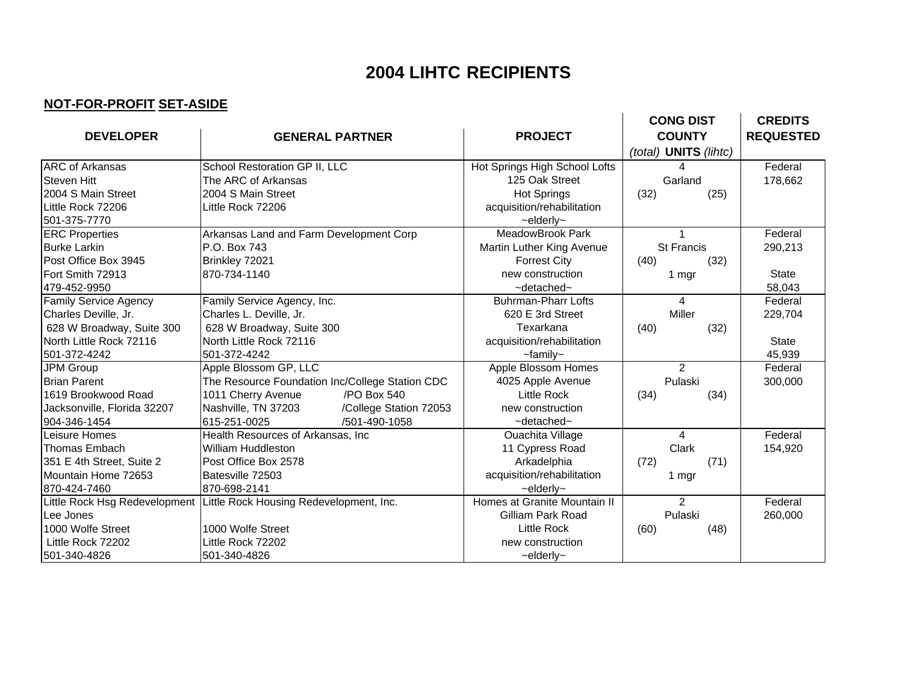## **2004 LIHTC RECIPIENTS**

## **NOT-FOR-PROFIT SET-ASIDE**

|                              |                                                                       |                               | <b>CONG DIST</b>      | <b>CREDITS</b>   |
|------------------------------|-----------------------------------------------------------------------|-------------------------------|-----------------------|------------------|
| <b>DEVELOPER</b>             | <b>GENERAL PARTNER</b>                                                | <b>PROJECT</b>                | <b>COUNTY</b>         | <b>REQUESTED</b> |
|                              |                                                                       |                               | (total) UNITS (lihtc) |                  |
| <b>ARC</b> of Arkansas       | School Restoration GP II, LLC                                         | Hot Springs High School Lofts |                       | Federal          |
| <b>Steven Hitt</b>           | The ARC of Arkansas                                                   | 125 Oak Street                | Garland               | 178,662          |
| 2004 S Main Street           | 2004 S Main Street                                                    | <b>Hot Springs</b>            | (32)<br>(25)          |                  |
| Little Rock 72206            | Little Rock 72206                                                     | acquisition/rehabilitation    |                       |                  |
| 501-375-7770                 |                                                                       | $\sim$ elderly $\sim$         |                       |                  |
| <b>ERC Properties</b>        | Arkansas Land and Farm Development Corp                               | MeadowBrook Park              |                       | Federal          |
| <b>Burke Larkin</b>          | P.O. Box 743                                                          | Martin Luther King Avenue     | <b>St Francis</b>     | 290,213          |
| Post Office Box 3945         | Brinkley 72021                                                        | <b>Forrest City</b>           | (40)<br>(32)          |                  |
| Fort Smith 72913             | 870-734-1140                                                          | new construction              | 1 mgr                 | <b>State</b>     |
| 479-452-9950                 |                                                                       | ~detached~                    |                       | 58,043           |
| <b>Family Service Agency</b> | Family Service Agency, Inc.                                           | <b>Buhrman-Pharr Lofts</b>    | 4                     | Federal          |
| Charles Deville, Jr.         | Charles L. Deville, Jr.                                               | 620 E 3rd Street              | Miller                | 229,704          |
| 628 W Broadway, Suite 300    | 628 W Broadway, Suite 300                                             | Texarkana                     | (40)<br>(32)          |                  |
| North Little Rock 72116      | North Little Rock 72116                                               | acquisition/rehabilitation    |                       | <b>State</b>     |
| 501-372-4242                 | 501-372-4242                                                          | $-$ family $-$                |                       | 45,939           |
| JPM Group                    | Apple Blossom GP, LLC                                                 | <b>Apple Blossom Homes</b>    | $\overline{2}$        | Federal          |
| <b>Brian Parent</b>          | The Resource Foundation Inc/College Station CDC                       | 4025 Apple Avenue             | Pulaski               | 300,000          |
| 1619 Brookwood Road          | /PO Box 540<br>1011 Cherry Avenue                                     | Little Rock                   | (34)<br>(34)          |                  |
| Jacksonville, Florida 32207  | Nashville, TN 37203<br>/College Station 72053                         | new construction              |                       |                  |
| 904-346-1454                 | 615-251-0025<br>/501-490-1058                                         | $\sim$ detached $\sim$        |                       |                  |
| Leisure Homes                | Health Resources of Arkansas, Inc.                                    | Ouachita Village              | 4                     | Federal          |
| <b>Thomas Embach</b>         | William Huddleston                                                    | 11 Cypress Road               | Clark                 | 154,920          |
| 351 E 4th Street, Suite 2    | Post Office Box 2578                                                  | Arkadelphia                   | (72)<br>(71)          |                  |
| Mountain Home 72653          | Batesville 72503                                                      | acquisition/rehabilitation    | 1 mgr                 |                  |
| 870-424-7460                 | 870-698-2141                                                          | $\sim$ elderly $\sim$         |                       |                  |
|                              | Little Rock Hsg Redevelopment Little Rock Housing Redevelopment, Inc. | Homes at Granite Mountain II  | $\overline{2}$        | Federal          |
| Lee Jones                    |                                                                       | Gilliam Park Road             | Pulaski               | 260,000          |
| 1000 Wolfe Street            | 1000 Wolfe Street                                                     | Little Rock                   | (60)<br>(48)          |                  |
| Little Rock 72202            | Little Rock 72202                                                     | new construction              |                       |                  |
| 501-340-4826                 | 501-340-4826                                                          | $\sim$ elderly $\sim$         |                       |                  |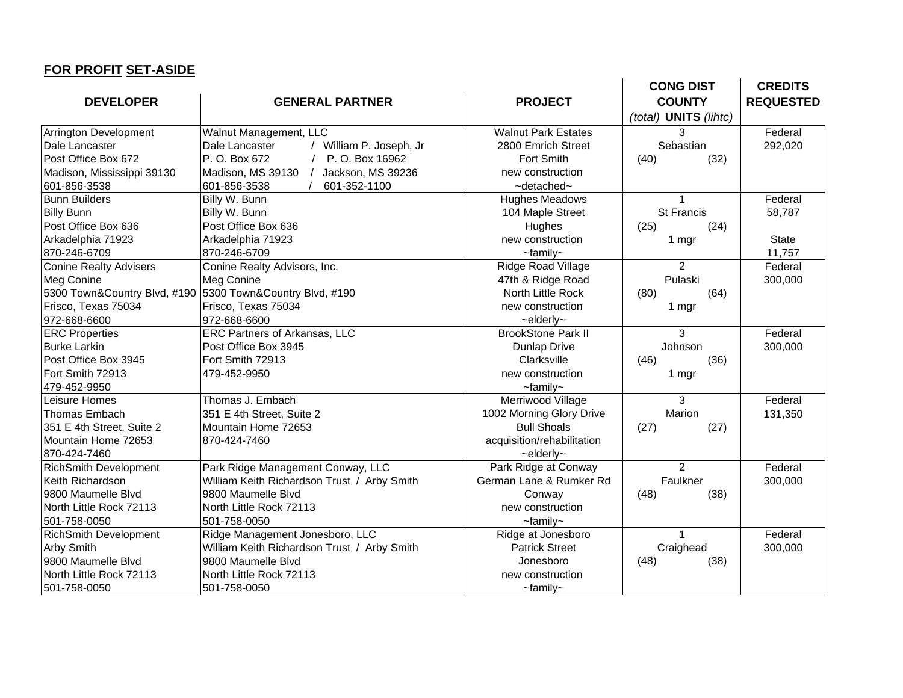|                               |                                             |                            | <b>CONG DIST</b>      | <b>CREDITS</b>   |
|-------------------------------|---------------------------------------------|----------------------------|-----------------------|------------------|
| <b>DEVELOPER</b>              | <b>GENERAL PARTNER</b>                      | <b>PROJECT</b>             | <b>COUNTY</b>         | <b>REQUESTED</b> |
|                               |                                             |                            | (total) UNITS (lihtc) |                  |
| Arrington Development         | Walnut Management, LLC                      | <b>Walnut Park Estates</b> | 3                     | Federal          |
| Dale Lancaster                | Dale Lancaster<br>/ William P. Joseph, Jr   | 2800 Emrich Street         | Sebastian             | 292,020          |
| Post Office Box 672           | P. O. Box 672<br>P. O. Box 16962            | <b>Fort Smith</b>          | (40)<br>(32)          |                  |
| Madison, Mississippi 39130    | Madison, MS 39130<br>Jackson, MS 39236      | new construction           |                       |                  |
| 601-856-3538                  | 601-856-3538<br>601-352-1100                | $\sim$ detached $\sim$     |                       |                  |
| <b>Bunn Builders</b>          | Billy W. Bunn                               | <b>Hughes Meadows</b>      | 1                     | Federal          |
| <b>Billy Bunn</b>             | Billy W. Bunn                               | 104 Maple Street           | <b>St Francis</b>     | 58,787           |
| Post Office Box 636           | Post Office Box 636                         | Hughes                     | (25)<br>(24)          |                  |
| Arkadelphia 71923             | Arkadelphia 71923                           | new construction           | 1 mgr                 | <b>State</b>     |
| 870-246-6709                  | 870-246-6709                                | $\sim$ family $\sim$       |                       | 11,757           |
| <b>Conine Realty Advisers</b> | Conine Realty Advisors, Inc.                | Ridge Road Village         | $\overline{2}$        | Federal          |
| Meg Conine                    | Meg Conine                                  | 47th & Ridge Road          | Pulaski               | 300,000          |
| 5300 Town&Country Blvd, #190  | 5300 Town&Country Blvd, #190                | North Little Rock          | (64)<br>(80)          |                  |
| Frisco, Texas 75034           | Frisco, Texas 75034                         | new construction           | 1 mgr                 |                  |
| 972-668-6600                  | 972-668-6600                                | $\sim$ elderly $\sim$      |                       |                  |
| <b>ERC Properties</b>         | ERC Partners of Arkansas, LLC               | <b>BrookStone Park II</b>  | 3                     | Federal          |
| <b>Burke Larkin</b>           | Post Office Box 3945                        | <b>Dunlap Drive</b>        | Johnson               | 300,000          |
| Post Office Box 3945          | Fort Smith 72913                            | Clarksville                | (46)<br>(36)          |                  |
| Fort Smith 72913              | 479-452-9950                                | new construction           | 1 mgr                 |                  |
| 479-452-9950                  |                                             | $-$ family $-$             |                       |                  |
| Leisure Homes                 | Thomas J. Embach                            | Merriwood Village          | 3                     | Federal          |
| <b>Thomas Embach</b>          | 351 E 4th Street, Suite 2                   | 1002 Morning Glory Drive   | Marion                | 131,350          |
| 351 E 4th Street, Suite 2     | Mountain Home 72653                         | <b>Bull Shoals</b>         | (27)<br>(27)          |                  |
| Mountain Home 72653           | 870-424-7460                                | acquisition/rehabilitation |                       |                  |
| 870-424-7460                  |                                             | $\sim$ elderly $\sim$      |                       |                  |
| RichSmith Development         | Park Ridge Management Conway, LLC           | Park Ridge at Conway       | $\overline{2}$        | Federal          |
| Keith Richardson              | William Keith Richardson Trust / Arby Smith | German Lane & Rumker Rd    | Faulkner              | 300,000          |
| 9800 Maumelle Blvd            | 9800 Maumelle Blvd                          | Conway                     | (48)<br>(38)          |                  |
| North Little Rock 72113       | North Little Rock 72113                     | new construction           |                       |                  |
| 501-758-0050                  | 501-758-0050                                | $-$ family $-$             |                       |                  |
| <b>RichSmith Development</b>  | Ridge Management Jonesboro, LLC             | Ridge at Jonesboro         | 1                     | Federal          |
| <b>Arby Smith</b>             | William Keith Richardson Trust / Arby Smith | <b>Patrick Street</b>      | Craighead             | 300,000          |
| 9800 Maumelle Blvd            | 9800 Maumelle Blvd                          | Jonesboro                  | (48)<br>(38)          |                  |
| North Little Rock 72113       | North Little Rock 72113                     | new construction           |                       |                  |
| 501-758-0050                  | 501-758-0050                                | $\sim$ family $\sim$       |                       |                  |

**FOR PROFIT SET-ASIDE**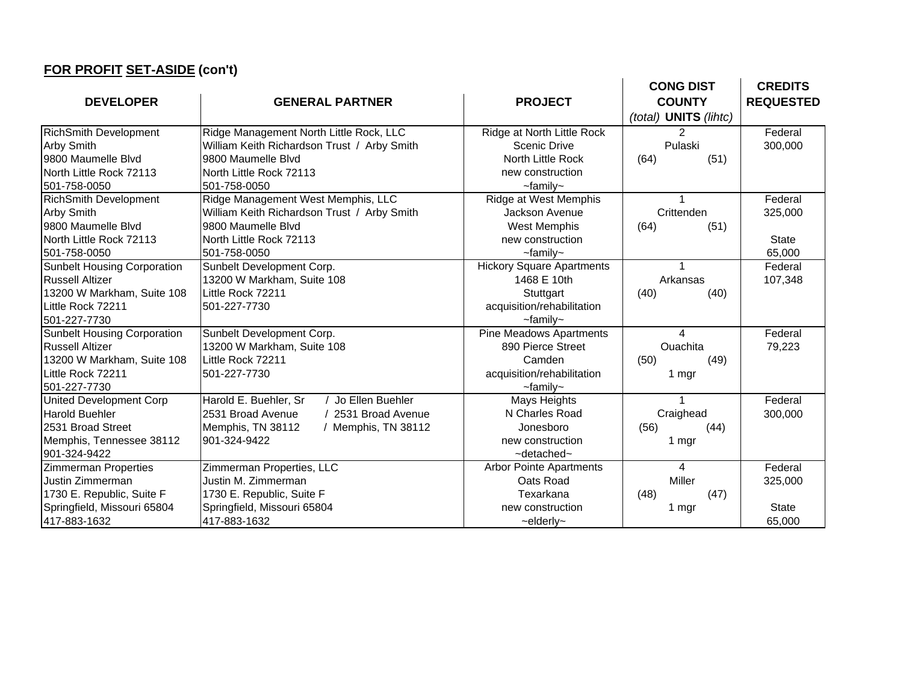## **FOR PROFIT SET-ASIDE (con't)**

| <u>I OK I KOLIT 9ET-ASIDE (</u> COILT) |                                             |                                  |                       |                  |
|----------------------------------------|---------------------------------------------|----------------------------------|-----------------------|------------------|
|                                        |                                             |                                  | <b>CONG DIST</b>      | <b>CREDITS</b>   |
| <b>DEVELOPER</b>                       | <b>GENERAL PARTNER</b>                      | <b>PROJECT</b>                   | <b>COUNTY</b>         | <b>REQUESTED</b> |
|                                        |                                             |                                  | (total) UNITS (lihtc) |                  |
| <b>RichSmith Development</b>           | Ridge Management North Little Rock, LLC     | Ridge at North Little Rock       | 2                     | Federal          |
| <b>Arby Smith</b>                      | William Keith Richardson Trust / Arby Smith | <b>Scenic Drive</b>              | Pulaski               | 300,000          |
| 9800 Maumelle Blvd                     | 9800 Maumelle Blvd                          | North Little Rock                | (51)<br>(64)          |                  |
| North Little Rock 72113                | North Little Rock 72113                     | new construction                 |                       |                  |
| 501-758-0050                           | 501-758-0050                                | $\sim$ family $\sim$             |                       |                  |
| <b>RichSmith Development</b>           | Ridge Management West Memphis, LLC          | Ridge at West Memphis            |                       | Federal          |
| <b>Arby Smith</b>                      | William Keith Richardson Trust / Arby Smith | Jackson Avenue                   | Crittenden            | 325,000          |
| 9800 Maumelle Blvd                     | 9800 Maumelle Blvd                          | <b>West Memphis</b>              | (64)<br>(51)          |                  |
| North Little Rock 72113                | North Little Rock 72113                     | new construction                 |                       | <b>State</b>     |
| 501-758-0050                           | 501-758-0050                                | $\sim$ family $\sim$             |                       | 65,000           |
| <b>Sunbelt Housing Corporation</b>     | Sunbelt Development Corp.                   | <b>Hickory Square Apartments</b> |                       | Federal          |
| <b>Russell Altizer</b>                 | 13200 W Markham, Suite 108                  | 1468 E 10th                      | Arkansas              | 107,348          |
| 13200 W Markham, Suite 108             | Little Rock 72211                           | Stuttgart                        | (40)<br>(40)          |                  |
| Little Rock 72211                      | 501-227-7730                                | acquisition/rehabilitation       |                       |                  |
| 501-227-7730                           |                                             | $\sim$ family $\sim$             |                       |                  |
| <b>Sunbelt Housing Corporation</b>     | Sunbelt Development Corp.                   | <b>Pine Meadows Apartments</b>   | 4                     | Federal          |
| <b>Russell Altizer</b>                 | 13200 W Markham, Suite 108                  | 890 Pierce Street                | Ouachita              | 79,223           |
| 13200 W Markham, Suite 108             | Little Rock 72211                           | Camden                           | (50)<br>(49)          |                  |
| Little Rock 72211                      | 501-227-7730                                | acquisition/rehabilitation       | 1 mgr                 |                  |
| 501-227-7730                           |                                             | $\sim$ family $\sim$             |                       |                  |
| <b>United Development Corp</b>         | Harold E. Buehler, Sr<br>Jo Ellen Buehler   | Mays Heights                     |                       | Federal          |
| <b>Harold Buehler</b>                  | 2531 Broad Avenue<br>/ 2531 Broad Avenue    | N Charles Road                   | Craighead             | 300,000          |
| 2531 Broad Street                      | Memphis, TN 38112<br>/ Memphis, TN 38112    | Jonesboro                        | (56)<br>(44)          |                  |
| Memphis, Tennessee 38112               | 901-324-9422                                | new construction                 | 1 mgr                 |                  |
| 901-324-9422                           |                                             | $\sim$ detached $\sim$           |                       |                  |
| Zimmerman Properties                   | Zimmerman Properties, LLC                   | <b>Arbor Pointe Apartments</b>   | 4                     | Federal          |
| Justin Zimmerman                       | Justin M. Zimmerman                         | Oats Road                        | Miller                | 325,000          |
| 1730 E. Republic, Suite F              | 1730 E. Republic, Suite F                   | Texarkana                        | (48)<br>(47)          |                  |
| Springfield, Missouri 65804            | Springfield, Missouri 65804                 | new construction                 | 1 mgr                 | <b>State</b>     |
| 417-883-1632                           | 417-883-1632                                | $\sim$ elderly $\sim$            |                       | 65,000           |